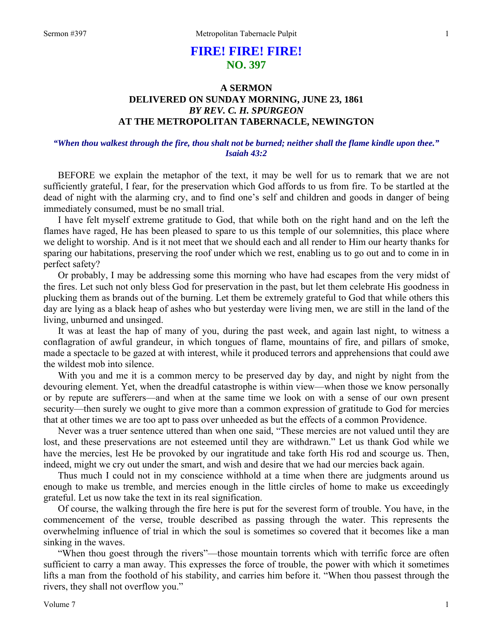# **FIRE! FIRE! FIRE! NO. 397**

# **A SERMON DELIVERED ON SUNDAY MORNING, JUNE 23, 1861**  *BY REV. C. H. SPURGEON*  **AT THE METROPOLITAN TABERNACLE, NEWINGTON**

# *"When thou walkest through the fire, thou shalt not be burned; neither shall the flame kindle upon thee." Isaiah 43:2*

BEFORE we explain the metaphor of the text, it may be well for us to remark that we are not sufficiently grateful, I fear, for the preservation which God affords to us from fire. To be startled at the dead of night with the alarming cry, and to find one's self and children and goods in danger of being immediately consumed, must be no small trial.

I have felt myself extreme gratitude to God, that while both on the right hand and on the left the flames have raged, He has been pleased to spare to us this temple of our solemnities, this place where we delight to worship. And is it not meet that we should each and all render to Him our hearty thanks for sparing our habitations, preserving the roof under which we rest, enabling us to go out and to come in in perfect safety?

Or probably, I may be addressing some this morning who have had escapes from the very midst of the fires. Let such not only bless God for preservation in the past, but let them celebrate His goodness in plucking them as brands out of the burning. Let them be extremely grateful to God that while others this day are lying as a black heap of ashes who but yesterday were living men, we are still in the land of the living, unburned and unsinged.

It was at least the hap of many of you, during the past week, and again last night, to witness a conflagration of awful grandeur, in which tongues of flame, mountains of fire, and pillars of smoke, made a spectacle to be gazed at with interest, while it produced terrors and apprehensions that could awe the wildest mob into silence.

With you and me it is a common mercy to be preserved day by day, and night by night from the devouring element. Yet, when the dreadful catastrophe is within view—when those we know personally or by repute are sufferers—and when at the same time we look on with a sense of our own present security—then surely we ought to give more than a common expression of gratitude to God for mercies that at other times we are too apt to pass over unheeded as but the effects of a common Providence.

Never was a truer sentence uttered than when one said, "These mercies are not valued until they are lost, and these preservations are not esteemed until they are withdrawn." Let us thank God while we have the mercies, lest He be provoked by our ingratitude and take forth His rod and scourge us. Then, indeed, might we cry out under the smart, and wish and desire that we had our mercies back again.

Thus much I could not in my conscience withhold at a time when there are judgments around us enough to make us tremble, and mercies enough in the little circles of home to make us exceedingly grateful. Let us now take the text in its real signification.

Of course, the walking through the fire here is put for the severest form of trouble. You have, in the commencement of the verse, trouble described as passing through the water. This represents the overwhelming influence of trial in which the soul is sometimes so covered that it becomes like a man sinking in the waves.

"When thou goest through the rivers"—those mountain torrents which with terrific force are often sufficient to carry a man away. This expresses the force of trouble, the power with which it sometimes lifts a man from the foothold of his stability, and carries him before it. "When thou passest through the rivers, they shall not overflow you."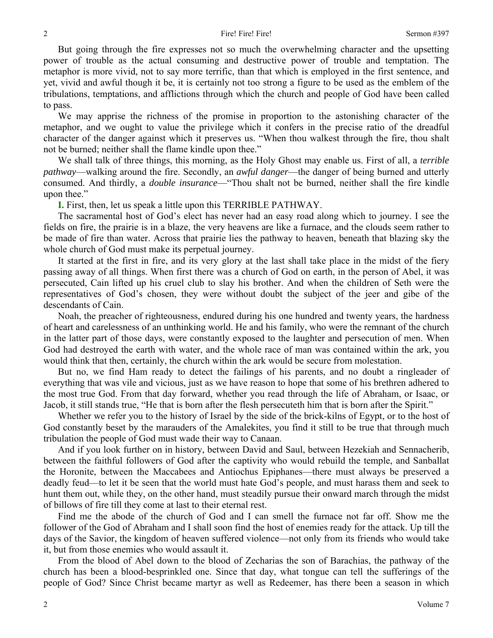But going through the fire expresses not so much the overwhelming character and the upsetting power of trouble as the actual consuming and destructive power of trouble and temptation. The metaphor is more vivid, not to say more terrific, than that which is employed in the first sentence, and yet, vivid and awful though it be, it is certainly not too strong a figure to be used as the emblem of the tribulations, temptations, and afflictions through which the church and people of God have been called to pass.

We may apprise the richness of the promise in proportion to the astonishing character of the metaphor, and we ought to value the privilege which it confers in the precise ratio of the dreadful character of the danger against which it preserves us. "When thou walkest through the fire, thou shalt not be burned; neither shall the flame kindle upon thee."

We shall talk of three things, this morning, as the Holy Ghost may enable us. First of all, a *terrible pathway*—walking around the fire. Secondly, an *awful danger*—the danger of being burned and utterly consumed. And thirdly, a *double insurance*—"Thou shalt not be burned, neither shall the fire kindle upon thee."

**I.** First, then, let us speak a little upon this TERRIBLE PATHWAY.

The sacramental host of God's elect has never had an easy road along which to journey. I see the fields on fire, the prairie is in a blaze, the very heavens are like a furnace, and the clouds seem rather to be made of fire than water. Across that prairie lies the pathway to heaven, beneath that blazing sky the whole church of God must make its perpetual journey.

It started at the first in fire, and its very glory at the last shall take place in the midst of the fiery passing away of all things. When first there was a church of God on earth, in the person of Abel, it was persecuted, Cain lifted up his cruel club to slay his brother. And when the children of Seth were the representatives of God's chosen, they were without doubt the subject of the jeer and gibe of the descendants of Cain.

Noah, the preacher of righteousness, endured during his one hundred and twenty years, the hardness of heart and carelessness of an unthinking world. He and his family, who were the remnant of the church in the latter part of those days, were constantly exposed to the laughter and persecution of men. When God had destroyed the earth with water, and the whole race of man was contained within the ark, you would think that then, certainly, the church within the ark would be secure from molestation.

But no, we find Ham ready to detect the failings of his parents, and no doubt a ringleader of everything that was vile and vicious, just as we have reason to hope that some of his brethren adhered to the most true God. From that day forward, whether you read through the life of Abraham, or Isaac, or Jacob, it still stands true, "He that is born after the flesh persecuteth him that is born after the Spirit."

Whether we refer you to the history of Israel by the side of the brick-kilns of Egypt, or to the host of God constantly beset by the marauders of the Amalekites, you find it still to be true that through much tribulation the people of God must wade their way to Canaan.

And if you look further on in history, between David and Saul, between Hezekiah and Sennacherib, between the faithful followers of God after the captivity who would rebuild the temple, and Sanballat the Horonite, between the Maccabees and Antiochus Epiphanes—there must always be preserved a deadly feud—to let it be seen that the world must hate God's people, and must harass them and seek to hunt them out, while they, on the other hand, must steadily pursue their onward march through the midst of billows of fire till they come at last to their eternal rest.

Find me the abode of the church of God and I can smell the furnace not far off. Show me the follower of the God of Abraham and I shall soon find the host of enemies ready for the attack. Up till the days of the Savior, the kingdom of heaven suffered violence—not only from its friends who would take it, but from those enemies who would assault it.

From the blood of Abel down to the blood of Zecharias the son of Barachias, the pathway of the church has been a blood-besprinkled one. Since that day, what tongue can tell the sufferings of the people of God? Since Christ became martyr as well as Redeemer, has there been a season in which

2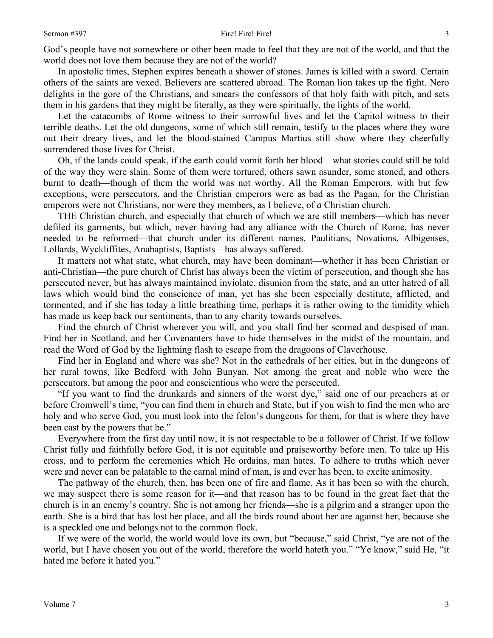God's people have not somewhere or other been made to feel that they are not of the world, and that the world does not love them because they are not of the world?

In apostolic times, Stephen expires beneath a shower of stones. James is killed with a sword. Certain others of the saints are vexed. Believers are scattered abroad. The Roman lion takes up the fight. Nero delights in the gore of the Christians, and smears the confessors of that holy faith with pitch, and sets them in his gardens that they might be literally, as they were spiritually, the lights of the world.

Let the catacombs of Rome witness to their sorrowful lives and let the Capitol witness to their terrible deaths. Let the old dungeons, some of which still remain, testify to the places where they wore out their dreary lives, and let the blood-stained Campus Martius still show where they cheerfully surrendered those lives for Christ.

Oh, if the lands could speak, if the earth could vomit forth her blood—what stories could still be told of the way they were slain. Some of them were tortured, others sawn asunder, some stoned, and others burnt to death—though of them the world was not worthy. All the Roman Emperors, with but few exceptions, were persecutors, and the Christian emperors were as bad as the Pagan, for the Christian emperors were not Christians, nor were they members, as I believe, of *a* Christian church.

THE Christian church, and especially that church of which we are still members—which has never defiled its garments, but which, never having had any alliance with the Church of Rome, has never needed to be reformed—that church under its different names, Paulitians, Novations, Albigenses, Lollards, Wyckliffites, Anabaptists, Baptists—has always suffered.

It matters not what state, what church, may have been dominant—whether it has been Christian or anti-Christian—the pure church of Christ has always been the victim of persecution, and though she has persecuted never, but has always maintained inviolate, disunion from the state, and an utter hatred of all laws which would bind the conscience of man, yet has she been especially destitute, afflicted, and tormented, and if she has today a little breathing time, perhaps it is rather owing to the timidity which has made us keep back our sentiments, than to any charity towards ourselves.

Find the church of Christ wherever you will, and you shall find her scorned and despised of man. Find her in Scotland, and her Covenanters have to hide themselves in the midst of the mountain, and read the Word of God by the lightning flash to escape from the dragoons of Claverhouse.

Find her in England and where was she? Not in the cathedrals of her cities, but in the dungeons of her rural towns, like Bedford with John Bunyan. Not among the great and noble who were the persecutors, but among the poor and conscientious who were the persecuted.

"If you want to find the drunkards and sinners of the worst dye," said one of our preachers at or before Cromwell's time, "you can find them in church and State, but if you wish to find the men who are holy and who serve God, you must look into the felon's dungeons for them, for that is where they have been cast by the powers that be."

Everywhere from the first day until now, it is not respectable to be a follower of Christ. If we follow Christ fully and faithfully before God, it is not equitable and praiseworthy before men. To take up His cross, and to perform the ceremonies which He ordains, man hates. To adhere to truths which never were and never can be palatable to the carnal mind of man, is and ever has been, to excite animosity.

The pathway of the church, then, has been one of fire and flame. As it has been so with the church, we may suspect there is some reason for it—and that reason has to be found in the great fact that the church is in an enemy's country. She is not among her friends—she is a pilgrim and a stranger upon the earth. She is a bird that has lost her place, and all the birds round about her are against her, because she is a speckled one and belongs not to the common flock.

If we were of the world, the world would love its own, but "because," said Christ, "ye are not of the world, but I have chosen you out of the world, therefore the world hateth you." "Ye know," said He, "it hated me before it hated you."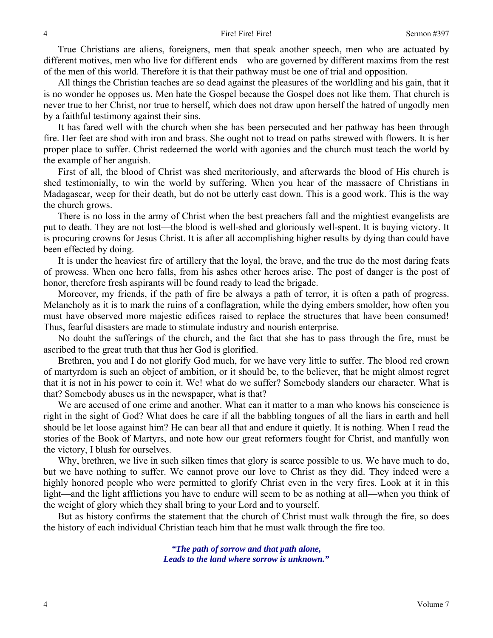True Christians are aliens, foreigners, men that speak another speech, men who are actuated by different motives, men who live for different ends—who are governed by different maxims from the rest of the men of this world. Therefore it is that their pathway must be one of trial and opposition.

All things the Christian teaches are so dead against the pleasures of the worldling and his gain, that it is no wonder he opposes us. Men hate the Gospel because the Gospel does not like them. That church is never true to her Christ, nor true to herself, which does not draw upon herself the hatred of ungodly men by a faithful testimony against their sins.

It has fared well with the church when she has been persecuted and her pathway has been through fire. Her feet are shod with iron and brass. She ought not to tread on paths strewed with flowers. It is her proper place to suffer. Christ redeemed the world with agonies and the church must teach the world by the example of her anguish.

First of all, the blood of Christ was shed meritoriously, and afterwards the blood of His church is shed testimonially, to win the world by suffering. When you hear of the massacre of Christians in Madagascar, weep for their death, but do not be utterly cast down. This is a good work. This is the way the church grows.

There is no loss in the army of Christ when the best preachers fall and the mightiest evangelists are put to death. They are not lost—the blood is well-shed and gloriously well-spent. It is buying victory. It is procuring crowns for Jesus Christ. It is after all accomplishing higher results by dying than could have been effected by doing.

It is under the heaviest fire of artillery that the loyal, the brave, and the true do the most daring feats of prowess. When one hero falls, from his ashes other heroes arise. The post of danger is the post of honor, therefore fresh aspirants will be found ready to lead the brigade.

Moreover, my friends, if the path of fire be always a path of terror, it is often a path of progress. Melancholy as it is to mark the ruins of a conflagration, while the dying embers smolder, how often you must have observed more majestic edifices raised to replace the structures that have been consumed! Thus, fearful disasters are made to stimulate industry and nourish enterprise.

No doubt the sufferings of the church, and the fact that she has to pass through the fire, must be ascribed to the great truth that thus her God is glorified.

Brethren, you and I do not glorify God much, for we have very little to suffer. The blood red crown of martyrdom is such an object of ambition, or it should be, to the believer, that he might almost regret that it is not in his power to coin it. We! what do we suffer? Somebody slanders our character. What is that? Somebody abuses us in the newspaper, what is that?

We are accused of one crime and another. What can it matter to a man who knows his conscience is right in the sight of God? What does he care if all the babbling tongues of all the liars in earth and hell should be let loose against him? He can bear all that and endure it quietly. It is nothing. When I read the stories of the Book of Martyrs, and note how our great reformers fought for Christ, and manfully won the victory, I blush for ourselves.

Why, brethren, we live in such silken times that glory is scarce possible to us. We have much to do, but we have nothing to suffer. We cannot prove our love to Christ as they did. They indeed were a highly honored people who were permitted to glorify Christ even in the very fires. Look at it in this light—and the light afflictions you have to endure will seem to be as nothing at all—when you think of the weight of glory which they shall bring to your Lord and to yourself.

But as history confirms the statement that the church of Christ must walk through the fire, so does the history of each individual Christian teach him that he must walk through the fire too.

> *"The path of sorrow and that path alone, Leads to the land where sorrow is unknown."*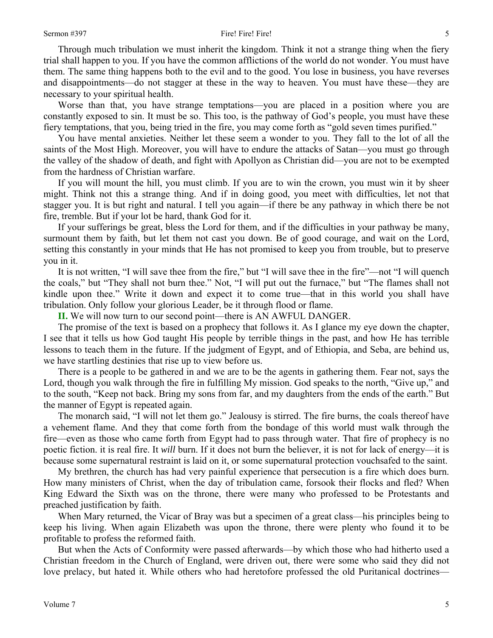#### Sermon #397 Fire! Fire! Fire! Fire!

Through much tribulation we must inherit the kingdom. Think it not a strange thing when the fiery trial shall happen to you. If you have the common afflictions of the world do not wonder. You must have them. The same thing happens both to the evil and to the good. You lose in business, you have reverses and disappointments—do not stagger at these in the way to heaven. You must have these—they are necessary to your spiritual health.

Worse than that, you have strange temptations—you are placed in a position where you are constantly exposed to sin. It must be so. This too, is the pathway of God's people, you must have these fiery temptations, that you, being tried in the fire, you may come forth as "gold seven times purified."

You have mental anxieties. Neither let these seem a wonder to you. They fall to the lot of all the saints of the Most High. Moreover, you will have to endure the attacks of Satan—you must go through the valley of the shadow of death, and fight with Apollyon as Christian did—you are not to be exempted from the hardness of Christian warfare.

If you will mount the hill, you must climb. If you are to win the crown, you must win it by sheer might. Think not this a strange thing. And if in doing good, you meet with difficulties, let not that stagger you. It is but right and natural. I tell you again—if there be any pathway in which there be not fire, tremble. But if your lot be hard, thank God for it.

If your sufferings be great, bless the Lord for them, and if the difficulties in your pathway be many, surmount them by faith, but let them not cast you down. Be of good courage, and wait on the Lord, setting this constantly in your minds that He has not promised to keep you from trouble, but to preserve you in it.

It is not written, "I will save thee from the fire," but "I will save thee in the fire"—not "I will quench the coals," but "They shall not burn thee." Not, "I will put out the furnace," but "The flames shall not kindle upon thee." Write it down and expect it to come true—that in this world you shall have tribulation. Only follow your glorious Leader, be it through flood or flame.

**II.** We will now turn to our second point—there is AN AWFUL DANGER.

The promise of the text is based on a prophecy that follows it. As I glance my eye down the chapter, I see that it tells us how God taught His people by terrible things in the past, and how He has terrible lessons to teach them in the future. If the judgment of Egypt, and of Ethiopia, and Seba, are behind us, we have startling destinies that rise up to view before us.

There is a people to be gathered in and we are to be the agents in gathering them. Fear not, says the Lord, though you walk through the fire in fulfilling My mission. God speaks to the north, "Give up," and to the south, "Keep not back. Bring my sons from far, and my daughters from the ends of the earth." But the manner of Egypt is repeated again.

The monarch said, "I will not let them go." Jealousy is stirred. The fire burns, the coals thereof have a vehement flame. And they that come forth from the bondage of this world must walk through the fire—even as those who came forth from Egypt had to pass through water. That fire of prophecy is no poetic fiction. it is real fire. It *will* burn. If it does not burn the believer, it is not for lack of energy—it is because some supernatural restraint is laid on it, or some supernatural protection vouchsafed to the saint.

My brethren, the church has had very painful experience that persecution is a fire which does burn. How many ministers of Christ, when the day of tribulation came, forsook their flocks and fled? When King Edward the Sixth was on the throne, there were many who professed to be Protestants and preached justification by faith.

When Mary returned, the Vicar of Bray was but a specimen of a great class—his principles being to keep his living. When again Elizabeth was upon the throne, there were plenty who found it to be profitable to profess the reformed faith.

But when the Acts of Conformity were passed afterwards—by which those who had hitherto used a Christian freedom in the Church of England, were driven out, there were some who said they did not love prelacy, but hated it. While others who had heretofore professed the old Puritanical doctrines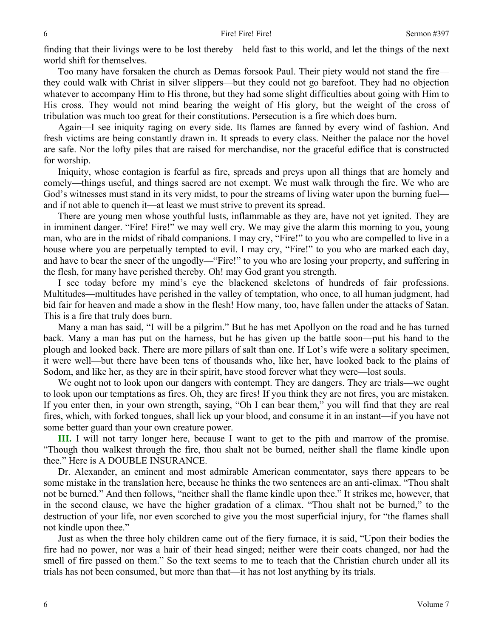finding that their livings were to be lost thereby—held fast to this world, and let the things of the next world shift for themselves.

Too many have forsaken the church as Demas forsook Paul. Their piety would not stand the fire they could walk with Christ in silver slippers—but they could not go barefoot. They had no objection whatever to accompany Him to His throne, but they had some slight difficulties about going with Him to His cross. They would not mind bearing the weight of His glory, but the weight of the cross of tribulation was much too great for their constitutions. Persecution is a fire which does burn.

Again—I see iniquity raging on every side. Its flames are fanned by every wind of fashion. And fresh victims are being constantly drawn in. It spreads to every class. Neither the palace nor the hovel are safe. Nor the lofty piles that are raised for merchandise, nor the graceful edifice that is constructed for worship.

Iniquity, whose contagion is fearful as fire, spreads and preys upon all things that are homely and comely—things useful, and things sacred are not exempt. We must walk through the fire. We who are God's witnesses must stand in its very midst, to pour the streams of living water upon the burning fuel and if not able to quench it—at least we must strive to prevent its spread.

There are young men whose youthful lusts, inflammable as they are, have not yet ignited. They are in imminent danger. "Fire! Fire!" we may well cry. We may give the alarm this morning to you, young man, who are in the midst of ribald companions. I may cry, "Fire!" to you who are compelled to live in a house where you are perpetually tempted to evil. I may cry, "Fire!" to you who are marked each day, and have to bear the sneer of the ungodly—"Fire!" to you who are losing your property, and suffering in the flesh, for many have perished thereby. Oh! may God grant you strength.

I see today before my mind's eye the blackened skeletons of hundreds of fair professions. Multitudes—multitudes have perished in the valley of temptation, who once, to all human judgment, had bid fair for heaven and made a show in the flesh! How many, too, have fallen under the attacks of Satan. This is a fire that truly does burn.

Many a man has said, "I will be a pilgrim." But he has met Apollyon on the road and he has turned back. Many a man has put on the harness, but he has given up the battle soon—put his hand to the plough and looked back. There are more pillars of salt than one. If Lot's wife were a solitary specimen, it were well—but there have been tens of thousands who, like her, have looked back to the plains of Sodom, and like her, as they are in their spirit, have stood forever what they were—lost souls.

We ought not to look upon our dangers with contempt. They are dangers. They are trials—we ought to look upon our temptations as fires. Oh, they are fires! If you think they are not fires, you are mistaken. If you enter then, in your own strength, saying, "Oh I can bear them," you will find that they are real fires, which, with forked tongues, shall lick up your blood, and consume it in an instant—if you have not some better guard than your own creature power.

**III.** I will not tarry longer here, because I want to get to the pith and marrow of the promise. "Though thou walkest through the fire, thou shalt not be burned, neither shall the flame kindle upon thee." Here is A DOUBLE INSURANCE.

Dr. Alexander, an eminent and most admirable American commentator, says there appears to be some mistake in the translation here, because he thinks the two sentences are an anti-climax. "Thou shalt not be burned." And then follows, "neither shall the flame kindle upon thee." It strikes me, however, that in the second clause, we have the higher gradation of a climax. "Thou shalt not be burned," to the destruction of your life, nor even scorched to give you the most superficial injury, for "the flames shall not kindle upon thee."

Just as when the three holy children came out of the fiery furnace, it is said, "Upon their bodies the fire had no power, nor was a hair of their head singed; neither were their coats changed, nor had the smell of fire passed on them." So the text seems to me to teach that the Christian church under all its trials has not been consumed, but more than that—it has not lost anything by its trials.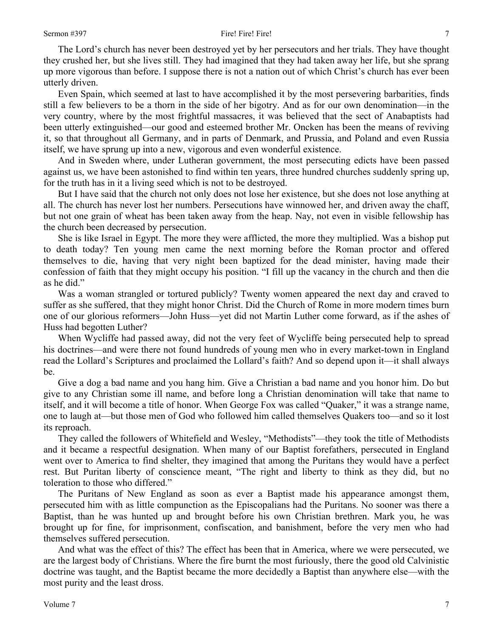The Lord's church has never been destroyed yet by her persecutors and her trials. They have thought they crushed her, but she lives still. They had imagined that they had taken away her life, but she sprang up more vigorous than before. I suppose there is not a nation out of which Christ's church has ever been utterly driven.

Even Spain, which seemed at last to have accomplished it by the most persevering barbarities, finds still a few believers to be a thorn in the side of her bigotry. And as for our own denomination—in the very country, where by the most frightful massacres, it was believed that the sect of Anabaptists had been utterly extinguished—our good and esteemed brother Mr. Oncken has been the means of reviving it, so that throughout all Germany, and in parts of Denmark, and Prussia, and Poland and even Russia itself, we have sprung up into a new, vigorous and even wonderful existence.

And in Sweden where, under Lutheran government, the most persecuting edicts have been passed against us, we have been astonished to find within ten years, three hundred churches suddenly spring up, for the truth has in it a living seed which is not to be destroyed.

But I have said that the church not only does not lose her existence, but she does not lose anything at all. The church has never lost her numbers. Persecutions have winnowed her, and driven away the chaff, but not one grain of wheat has been taken away from the heap. Nay, not even in visible fellowship has the church been decreased by persecution.

She is like Israel in Egypt. The more they were afflicted, the more they multiplied. Was a bishop put to death today? Ten young men came the next morning before the Roman proctor and offered themselves to die, having that very night been baptized for the dead minister, having made their confession of faith that they might occupy his position. "I fill up the vacancy in the church and then die as he did."

Was a woman strangled or tortured publicly? Twenty women appeared the next day and craved to suffer as she suffered, that they might honor Christ. Did the Church of Rome in more modern times burn one of our glorious reformers—John Huss—yet did not Martin Luther come forward, as if the ashes of Huss had begotten Luther?

When Wycliffe had passed away, did not the very feet of Wycliffe being persecuted help to spread his doctrines—and were there not found hundreds of young men who in every market-town in England read the Lollard's Scriptures and proclaimed the Lollard's faith? And so depend upon it—it shall always be.

Give a dog a bad name and you hang him. Give a Christian a bad name and you honor him. Do but give to any Christian some ill name, and before long a Christian denomination will take that name to itself, and it will become a title of honor. When George Fox was called "Quaker," it was a strange name, one to laugh at—but those men of God who followed him called themselves Quakers too—and so it lost its reproach.

They called the followers of Whitefield and Wesley, "Methodists"—they took the title of Methodists and it became a respectful designation. When many of our Baptist forefathers, persecuted in England went over to America to find shelter, they imagined that among the Puritans they would have a perfect rest. But Puritan liberty of conscience meant, "The right and liberty to think as they did, but no toleration to those who differed."

The Puritans of New England as soon as ever a Baptist made his appearance amongst them, persecuted him with as little compunction as the Episcopalians had the Puritans. No sooner was there a Baptist, than he was hunted up and brought before his own Christian brethren. Mark you, he was brought up for fine, for imprisonment, confiscation, and banishment, before the very men who had themselves suffered persecution.

And what was the effect of this? The effect has been that in America, where we were persecuted, we are the largest body of Christians. Where the fire burnt the most furiously, there the good old Calvinistic doctrine was taught, and the Baptist became the more decidedly a Baptist than anywhere else—with the most purity and the least dross.

7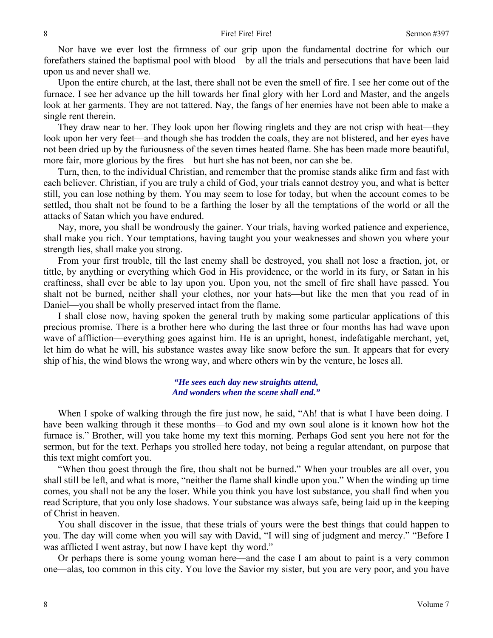Nor have we ever lost the firmness of our grip upon the fundamental doctrine for which our forefathers stained the baptismal pool with blood—by all the trials and persecutions that have been laid upon us and never shall we.

Upon the entire church, at the last, there shall not be even the smell of fire. I see her come out of the furnace. I see her advance up the hill towards her final glory with her Lord and Master, and the angels look at her garments. They are not tattered. Nay, the fangs of her enemies have not been able to make a single rent therein.

They draw near to her. They look upon her flowing ringlets and they are not crisp with heat—they look upon her very feet—and though she has trodden the coals, they are not blistered, and her eyes have not been dried up by the furiousness of the seven times heated flame. She has been made more beautiful, more fair, more glorious by the fires—but hurt she has not been, nor can she be.

Turn, then, to the individual Christian, and remember that the promise stands alike firm and fast with each believer. Christian, if you are truly a child of God, your trials cannot destroy you, and what is better still, you can lose nothing by them. You may seem to lose for today, but when the account comes to be settled, thou shalt not be found to be a farthing the loser by all the temptations of the world or all the attacks of Satan which you have endured.

Nay, more, you shall be wondrously the gainer. Your trials, having worked patience and experience, shall make you rich. Your temptations, having taught you your weaknesses and shown you where your strength lies, shall make you strong.

From your first trouble, till the last enemy shall be destroyed, you shall not lose a fraction, jot, or tittle, by anything or everything which God in His providence, or the world in its fury, or Satan in his craftiness, shall ever be able to lay upon you. Upon you, not the smell of fire shall have passed. You shalt not be burned, neither shall your clothes, nor your hats—but like the men that you read of in Daniel—you shall be wholly preserved intact from the flame.

I shall close now, having spoken the general truth by making some particular applications of this precious promise. There is a brother here who during the last three or four months has had wave upon wave of affliction—everything goes against him. He is an upright, honest, indefatigable merchant, yet, let him do what he will, his substance wastes away like snow before the sun. It appears that for every ship of his, the wind blows the wrong way, and where others win by the venture, he loses all.

### *"He sees each day new straights attend, And wonders when the scene shall end."*

When I spoke of walking through the fire just now, he said, "Ah! that is what I have been doing. I have been walking through it these months—to God and my own soul alone is it known how hot the furnace is." Brother, will you take home my text this morning. Perhaps God sent you here not for the sermon, but for the text. Perhaps you strolled here today, not being a regular attendant, on purpose that this text might comfort you.

"When thou goest through the fire, thou shalt not be burned." When your troubles are all over, you shall still be left, and what is more, "neither the flame shall kindle upon you." When the winding up time comes, you shall not be any the loser. While you think you have lost substance, you shall find when you read Scripture, that you only lose shadows. Your substance was always safe, being laid up in the keeping of Christ in heaven.

You shall discover in the issue, that these trials of yours were the best things that could happen to you. The day will come when you will say with David, "I will sing of judgment and mercy." "Before I was afflicted I went astray, but now I have kept thy word."

Or perhaps there is some young woman here—and the case I am about to paint is a very common one—alas, too common in this city. You love the Savior my sister, but you are very poor, and you have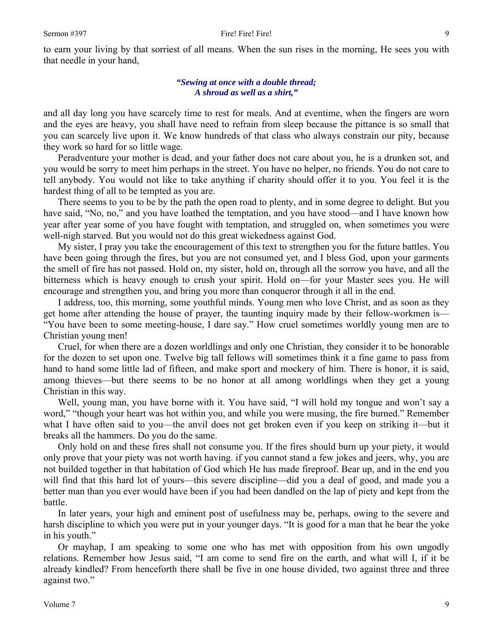## *"Sewing at once with a double thread; A shroud as well as a shirt,"*

and all day long you have scarcely time to rest for meals. And at eventime, when the fingers are worn and the eyes are heavy, you shall have need to refrain from sleep because the pittance is so small that you can scarcely live upon it. We know hundreds of that class who always constrain our pity, because they work so hard for so little wage.

Peradventure your mother is dead, and your father does not care about you, he is a drunken sot, and you would be sorry to meet him perhaps in the street. You have no helper, no friends. You do not care to tell anybody. You would not like to take anything if charity should offer it to you. You feel it is the hardest thing of all to be tempted as you are.

There seems to you to be by the path the open road to plenty, and in some degree to delight. But you have said, "No, no," and you have loathed the temptation, and you have stood—and I have known how year after year some of you have fought with temptation, and struggled on, when sometimes you were well-nigh starved. But you would not do this great wickedness against God.

My sister, I pray you take the encouragement of this text to strengthen you for the future battles. You have been going through the fires, but you are not consumed yet, and I bless God, upon your garments the smell of fire has not passed. Hold on, my sister, hold on, through all the sorrow you have, and all the bitterness which is heavy enough to crush your spirit. Hold on—for your Master sees you. He will encourage and strengthen you, and bring you more than conqueror through it all in the end.

I address, too, this morning, some youthful minds. Young men who love Christ, and as soon as they get home after attending the house of prayer, the taunting inquiry made by their fellow-workmen is— "You have been to some meeting-house, I dare say." How cruel sometimes worldly young men are to Christian young men!

Cruel, for when there are a dozen worldlings and only one Christian, they consider it to be honorable for the dozen to set upon one. Twelve big tall fellows will sometimes think it a fine game to pass from hand to hand some little lad of fifteen, and make sport and mockery of him. There is honor, it is said, among thieves—but there seems to be no honor at all among worldlings when they get a young Christian in this way.

Well, young man, you have borne with it. You have said, "I will hold my tongue and won't say a word," "though your heart was hot within you, and while you were musing, the fire burned." Remember what I have often said to you—the anvil does not get broken even if you keep on striking it—but it breaks all the hammers. Do you do the same.

Only hold on and these fires shall not consume you. If the fires should burn up your piety, it would only prove that your piety was not worth having. if you cannot stand a few jokes and jeers, why, you are not builded together in that habitation of God which He has made fireproof. Bear up, and in the end you will find that this hard lot of yours—this severe discipline—did you a deal of good, and made you a better man than you ever would have been if you had been dandled on the lap of piety and kept from the battle.

In later years, your high and eminent post of usefulness may be, perhaps, owing to the severe and harsh discipline to which you were put in your younger days. "It is good for a man that he bear the yoke in his youth."

Or mayhap, I am speaking to some one who has met with opposition from his own ungodly relations. Remember how Jesus said, "I am come to send fire on the earth, and what will I, if it be already kindled? From henceforth there shall be five in one house divided, two against three and three against two."